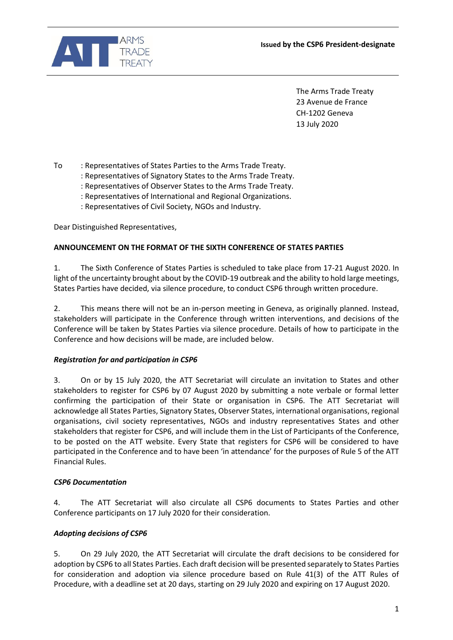

The Arms Trade Treaty 23 Avenue de France CH-1202 Geneva 13 July 2020

To : Representatives of States Parties to the Arms Trade Treaty.

- : Representatives of Signatory States to the Arms Trade Treaty.
- : Representatives of Observer States to the Arms Trade Treaty.
- : Representatives of International and Regional Organizations.
- : Representatives of Civil Society, NGOs and Industry.

Dear Distinguished Representatives,

#### **ANNOUNCEMENT ON THE FORMAT OF THE SIXTH CONFERENCE OF STATES PARTIES**

1. The Sixth Conference of States Parties is scheduled to take place from 17-21 August 2020. In light of the uncertainty brought about by the COVID-19 outbreak and the ability to hold large meetings, States Parties have decided, via silence procedure, to conduct CSP6 through written procedure.

2. This means there will not be an in-person meeting in Geneva, as originally planned. Instead, stakeholders will participate in the Conference through written interventions, and decisions of the Conference will be taken by States Parties via silence procedure. Details of how to participate in the Conference and how decisions will be made, are included below.

# *Registration for and participation in CSP6*

3. On or by 15 July 2020, the ATT Secretariat will circulate an invitation to States and other stakeholders to register for CSP6 by 07 August 2020 by submitting a note verbale or formal letter confirming the participation of their State or organisation in CSP6. The ATT Secretariat will acknowledge all States Parties, Signatory States, Observer States, international organisations, regional organisations, civil society representatives, NGOs and industry representatives States and other stakeholders that register for CSP6, and will include them in the List of Participants of the Conference, to be posted on the ATT website. Every State that registers for CSP6 will be considered to have participated in the Conference and to have been 'in attendance' for the purposes of Rule 5 of the ATT Financial Rules.

#### *CSP6 Documentation*

4. The ATT Secretariat will also circulate all CSP6 documents to States Parties and other Conference participants on 17 July 2020 for their consideration.

# *Adopting decisions of CSP6*

5. On 29 July 2020, the ATT Secretariat will circulate the draft decisions to be considered for adoption by CSP6 to all States Parties. Each draft decision will be presented separately to States Parties for consideration and adoption via silence procedure based on Rule 41(3) of the ATT Rules of Procedure, with a deadline set at 20 days, starting on 29 July 2020 and expiring on 17 August 2020.